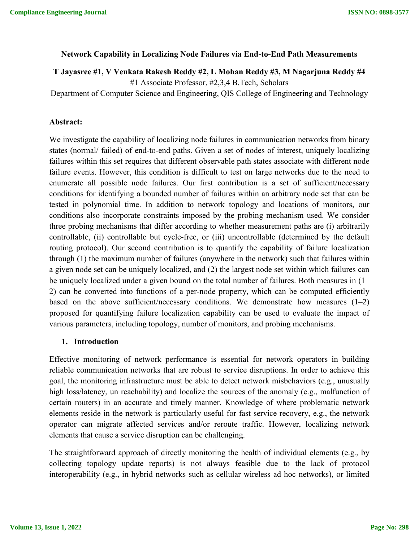## **Network Capability in Localizing Node Failures via End-to-End Path Measurements**

**T Jayasree #1, V Venkata Rakesh Reddy #2, L Mohan Reddy #3, M Nagarjuna Reddy #4**

#1 Associate Professor, #2,3,4 B.Tech, Scholars

Department of Computer Science and Engineering, QIS College of Engineering and Technology

## **Abstract:**

We investigate the capability of localizing node failures in communication networks from binary states (normal/ failed) of end-to-end paths. Given a set of nodes of interest, uniquely localizing failures within this set requires that different observable path states associate with different node failure events. However, this condition is difficult to test on large networks due to the need to enumerate all possible node failures. Our first contribution is a set of sufficient/necessary conditions for identifying a bounded number of failures within an arbitrary node set that can be tested in polynomial time. In addition to network topology and locations of monitors, our conditions also incorporate constraints imposed by the probing mechanism used. We consider three probing mechanisms that differ according to whether measurement paths are (i) arbitrarily controllable, (ii) controllable but cycle-free, or (iii) uncontrollable (determined by the default routing protocol). Our second contribution is to quantify the capability of failure localization through (1) the maximum number of failures (anywhere in the network) such that failures within a given node set can be uniquely localized, and (2) the largest node set within which failures can be uniquely localized under a given bound on the total number of failures. Both measures in (1– 2) can be converted into functions of a per-node property, which can be computed efficiently based on the above sufficient/necessary conditions. We demonstrate how measures  $(1-2)$ proposed for quantifying failure localization capability can be used to evaluate the impact of various parameters, including topology, number of monitors, and probing mechanisms.

# **1. Introduction**

Effective monitoring of network performance is essential for network operators in building reliable communication networks that are robust to service disruptions. In order to achieve this goal, the monitoring infrastructure must be able to detect network misbehaviors (e.g., unusually high loss/latency, un reachability) and localize the sources of the anomaly (e.g., malfunction of certain routers) in an accurate and timely manner. Knowledge of where problematic network elements reside in the network is particularly useful for fast service recovery, e.g., the network operator can migrate affected services and/or reroute traffic. However, localizing network elements that cause a service disruption can be challenging.

The straightforward approach of directly monitoring the health of individual elements (e.g., by collecting topology update reports) is not always feasible due to the lack of protocol interoperability (e.g., in hybrid networks such as cellular wireless ad hoc networks), or limited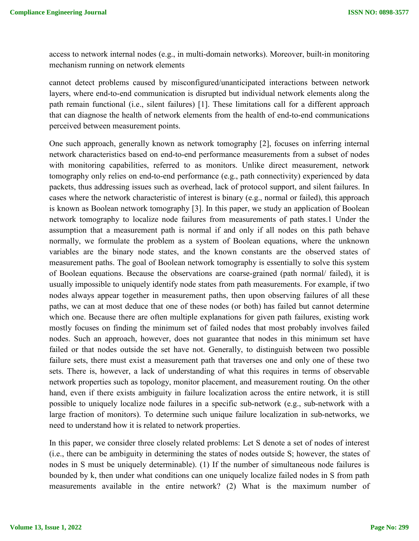access to network internal nodes (e.g., in multi-domain networks). Moreover, built-in monitoring mechanism running on network elements

cannot detect problems caused by misconfigured/unanticipated interactions between network layers, where end-to-end communication is disrupted but individual network elements along the path remain functional (i.e., silent failures) [1]. These limitations call for a different approach that can diagnose the health of network elements from the health of end-to-end communications perceived between measurement points.

One such approach, generally known as network tomography [2], focuses on inferring internal network characteristics based on end-to-end performance measurements from a subset of nodes with monitoring capabilities, referred to as monitors. Unlike direct measurement, network tomography only relies on end-to-end performance (e.g., path connectivity) experienced by data packets, thus addressing issues such as overhead, lack of protocol support, and silent failures. In cases where the network characteristic of interest is binary (e.g., normal or failed), this approach is known as Boolean network tomography [3]. In this paper, we study an application of Boolean network tomography to localize node failures from measurements of path states.1 Under the assumption that a measurement path is normal if and only if all nodes on this path behave normally, we formulate the problem as a system of Boolean equations, where the unknown variables are the binary node states, and the known constants are the observed states of measurement paths. The goal of Boolean network tomography is essentially to solve this system of Boolean equations. Because the observations are coarse-grained (path normal/ failed), it is usually impossible to uniquely identify node states from path measurements. For example, if two nodes always appear together in measurement paths, then upon observing failures of all these paths, we can at most deduce that one of these nodes (or both) has failed but cannot determine which one. Because there are often multiple explanations for given path failures, existing work mostly focuses on finding the minimum set of failed nodes that most probably involves failed nodes. Such an approach, however, does not guarantee that nodes in this minimum set have failed or that nodes outside the set have not. Generally, to distinguish between two possible failure sets, there must exist a measurement path that traverses one and only one of these two sets. There is, however, a lack of understanding of what this requires in terms of observable network properties such as topology, monitor placement, and measurement routing. On the other hand, even if there exists ambiguity in failure localization across the entire network, it is still possible to uniquely localize node failures in a specific sub-network (e.g., sub-network with a large fraction of monitors). To determine such unique failure localization in sub-networks, we need to understand how it is related to network properties.

In this paper, we consider three closely related problems: Let S denote a set of nodes of interest (i.e., there can be ambiguity in determining the states of nodes outside S; however, the states of nodes in S must be uniquely determinable). (1) If the number of simultaneous node failures is bounded by k, then under what conditions can one uniquely localize failed nodes in S from path measurements available in the entire network? (2) What is the maximum number of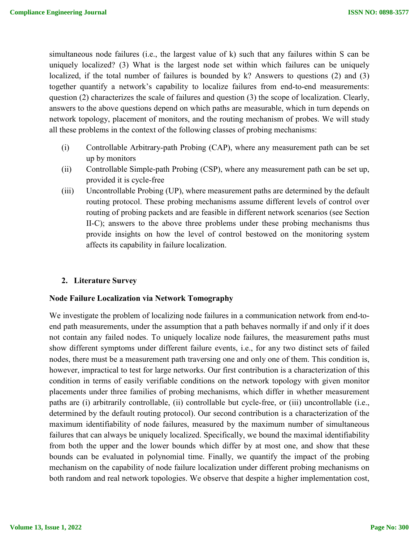simultaneous node failures (i.e., the largest value of k) such that any failures within S can be uniquely localized? (3) What is the largest node set within which failures can be uniquely localized, if the total number of failures is bounded by k? Answers to questions (2) and (3) together quantify a network's capability to localize failures from end-to-end measurements: question (2) characterizes the scale of failures and question (3) the scope of localization. Clearly, answers to the above questions depend on which paths are measurable, which in turn depends on network topology, placement of monitors, and the routing mechanism of probes. We will study all these problems in the context of the following classes of probing mechanisms:

- (i) Controllable Arbitrary-path Probing (CAP), where any measurement path can be set up by monitors
- (ii) Controllable Simple-path Probing (CSP), where any measurement path can be set up, provided it is cycle-free
- (iii) Uncontrollable Probing (UP), where measurement paths are determined by the default routing protocol. These probing mechanisms assume different levels of control over routing of probing packets and are feasible in different network scenarios (see Section II-C); answers to the above three problems under these probing mechanisms thus provide insights on how the level of control bestowed on the monitoring system affects its capability in failure localization.

#### **2. Literature Survey**

#### **Node Failure Localization via Network Tomography**

We investigate the problem of localizing node failures in a communication network from end-toend path measurements, under the assumption that a path behaves normally if and only if it does not contain any failed nodes. To uniquely localize node failures, the measurement paths must show different symptoms under different failure events, i.e., for any two distinct sets of failed nodes, there must be a measurement path traversing one and only one of them. This condition is, however, impractical to test for large networks. Our first contribution is a characterization of this condition in terms of easily verifiable conditions on the network topology with given monitor placements under three families of probing mechanisms, which differ in whether measurement paths are (i) arbitrarily controllable, (ii) controllable but cycle-free, or (iii) uncontrollable (i.e., determined by the default routing protocol). Our second contribution is a characterization of the maximum identifiability of node failures, measured by the maximum number of simultaneous failures that can always be uniquely localized. Specifically, we bound the maximal identifiability from both the upper and the lower bounds which differ by at most one, and show that these bounds can be evaluated in polynomial time. Finally, we quantify the impact of the probing mechanism on the capability of node failure localization under different probing mechanisms on both random and real network topologies. We observe that despite a higher implementation cost,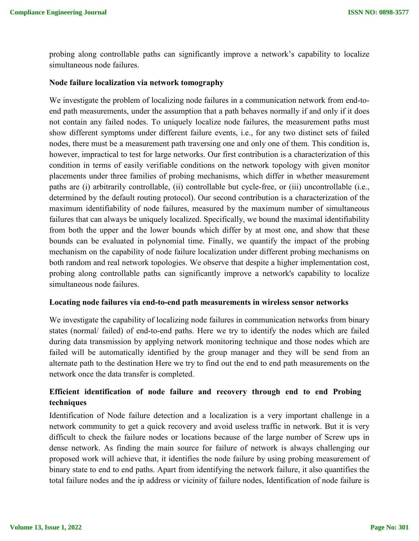probing along controllable paths can significantly improve a network's capability to localize simultaneous node failures.

## **Node failure localization via network tomography**

We investigate the problem of localizing node failures in a communication network from end-toend path measurements, under the assumption that a path behaves normally if and only if it does not contain any failed nodes. To uniquely localize node failures, the measurement paths must show different symptoms under different failure events, i.e., for any two distinct sets of failed nodes, there must be a measurement path traversing one and only one of them. This condition is, however, impractical to test for large networks. Our first contribution is a characterization of this condition in terms of easily verifiable conditions on the network topology with given monitor placements under three families of probing mechanisms, which differ in whether measurement paths are (i) arbitrarily controllable, (ii) controllable but cycle-free, or (iii) uncontrollable (i.e., determined by the default routing protocol). Our second contribution is a characterization of the maximum identifiability of node failures, measured by the maximum number of simultaneous failures that can always be uniquely localized. Specifically, we bound the maximal identifiability from both the upper and the lower bounds which differ by at most one, and show that these bounds can be evaluated in polynomial time. Finally, we quantify the impact of the probing mechanism on the capability of node failure localization under different probing mechanisms on both random and real network topologies. We observe that despite a higher implementation cost, probing along controllable paths can significantly improve a network's capability to localize simultaneous node failures.

#### **Locating node failures via end-to-end path measurements in wireless sensor networks**

We investigate the capability of localizing node failures in communication networks from binary states (normal/ failed) of end-to-end paths. Here we try to identify the nodes which are failed during data transmission by applying network monitoring technique and those nodes which are failed will be automatically identified by the group manager and they will be send from an alternate path to the destination Here we try to find out the end to end path measurements on the network once the data transfer is completed.

# **Efficient identification of node failure and recovery through end to end Probing techniques**

Identification of Node failure detection and a localization is a very important challenge in a network community to get a quick recovery and avoid useless traffic in network. But it is very difficult to check the failure nodes or locations because of the large number of Screw ups in dense network. As finding the main source for failure of network is always challenging our proposed work will achieve that, it identifies the node failure by using probing measurement of binary state to end to end paths. Apart from identifying the network failure, it also quantifies the total failure nodes and the ip address or vicinity of failure nodes, Identification of node failure is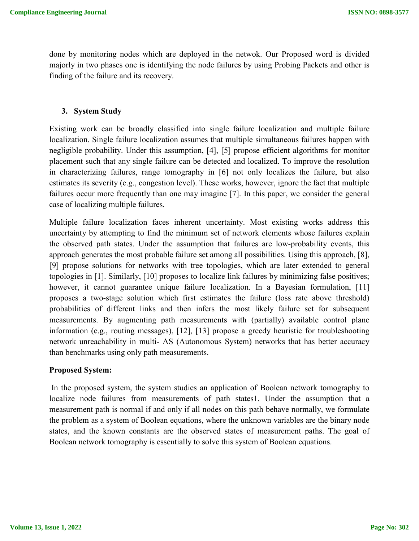done by monitoring nodes which are deployed in the netwok. Our Proposed word is divided majorly in two phases one is identifying the node failures by using Probing Packets and other is finding of the failure and its recovery.

## **3. System Study**

Existing work can be broadly classified into single failure localization and multiple failure localization. Single failure localization assumes that multiple simultaneous failures happen with negligible probability. Under this assumption, [4], [5] propose efficient algorithms for monitor placement such that any single failure can be detected and localized. To improve the resolution in characterizing failures, range tomography in [6] not only localizes the failure, but also estimates its severity (e.g., congestion level). These works, however, ignore the fact that multiple failures occur more frequently than one may imagine [7]. In this paper, we consider the general case of localizing multiple failures.

Multiple failure localization faces inherent uncertainty. Most existing works address this uncertainty by attempting to find the minimum set of network elements whose failures explain the observed path states. Under the assumption that failures are low-probability events, this approach generates the most probable failure set among all possibilities. Using this approach, [8], [9] propose solutions for networks with tree topologies, which are later extended to general topologies in [1]. Similarly, [10] proposes to localize link failures by minimizing false positives; however, it cannot guarantee unique failure localization. In a Bayesian formulation, [11] proposes a two-stage solution which first estimates the failure (loss rate above threshold) probabilities of different links and then infers the most likely failure set for subsequent measurements. By augmenting path measurements with (partially) available control plane information (e.g., routing messages), [12], [13] propose a greedy heuristic for troubleshooting network unreachability in multi- AS (Autonomous System) networks that has better accuracy than benchmarks using only path measurements.

#### **Proposed System:**

In the proposed system, the system studies an application of Boolean network tomography to localize node failures from measurements of path states1. Under the assumption that a measurement path is normal if and only if all nodes on this path behave normally, we formulate the problem as a system of Boolean equations, where the unknown variables are the binary node states, and the known constants are the observed states of measurement paths. The goal of Boolean network tomography is essentially to solve this system of Boolean equations.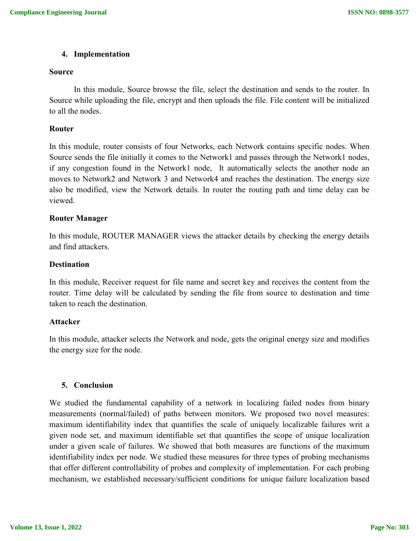## **4. Implementation**

#### **Source**

In this module, Source browse the file, select the destination and sends to the router. In Source while uploading the file, encrypt and then uploads the file. File content will be initialized to all the nodes.

## **Router**

In this module, router consists of four Networks, each Network contains specific nodes. When Source sends the file initially it comes to the Network1 and passes through the Network1 nodes, if any congestion found in the Network1 node, It automatically selects the another node an moves to Network2 and Network 3 and Network4 and reaches the destination. The energy size also be modified, view the Network details. In router the routing path and time delay can be viewed.

## **Router Manager**

In this module, ROUTER MANAGER views the attacker details by checking the energy details and find attackers.

## **Destination**

In this module, Receiver request for file name and secret key and receives the content from the router. Time delay will be calculated by sending the file from source to destination and time taken to reach the destination.

#### **Attacker**

In this module, attacker selects the Network and node, gets the original energy size and modifies the energy size for the node.

# **5. Conclusion**

We studied the fundamental capability of a network in localizing failed nodes from binary measurements (normal/failed) of paths between monitors. We proposed two novel measures: maximum identifiability index that quantifies the scale of uniquely localizable failures writ a given node set, and maximum identifiable set that quantifies the scope of unique localization under a given scale of failures. We showed that both measures are functions of the maximum identifiability index per node. We studied these measures for three types of probing mechanisms that offer different controllability of probes and complexity of implementation. For each probing mechanism, we established necessary/sufficient conditions for unique failure localization based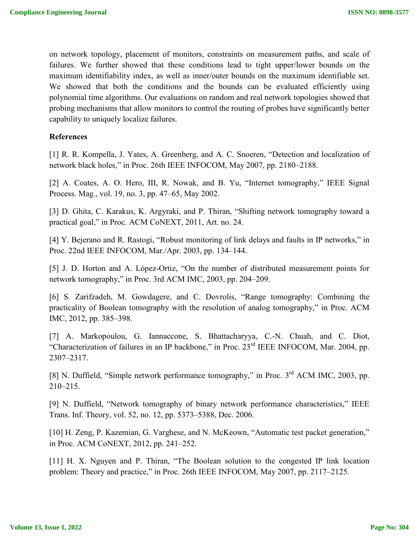on network topology, placement of monitors, constraints on measurement paths, and scale of failures. We further showed that these conditions lead to tight upper/lower bounds on the maximum identifiability index, as well as inner/outer bounds on the maximum identifiable set. We showed that both the conditions and the bounds can be evaluated efficiently using polynomial time algorithms. Our evaluations on random and real network topologies showed that probing mechanisms that allow monitors to control the routing of probes have significantly better capability to uniquely localize failures.

## **References**

[1] R. R. Kompella, J. Yates, A. Greenberg, and A. C. Snoeren, "Detection and localization of network black holes," in Proc. 26th IEEE INFOCOM, May 2007, pp. 2180–2188.

[2] A. Coates, A. O. Hero, III, R. Nowak, and B. Yu, "Internet tomography," IEEE Signal Process. Mag., vol. 19, no. 3, pp. 47–65, May 2002.

[3] D. Ghita, C. Karakus, K. Argyraki, and P. Thiran, "Shifting network tomography toward a practical goal," in Proc. ACM CoNEXT, 2011, Art. no. 24.

[4] Y. Bejerano and R. Rastogi, "Robust monitoring of link delays and faults in IP networks," in Proc. 22nd IEEE INFOCOM, Mar./Apr. 2003, pp. 134–144.

[5] J. D. Horton and A. López-Ortiz, "On the number of distributed measurement points for network tomography," in Proc. 3rd ACM IMC, 2003, pp. 204–209.

[6] S. Zarifzadeh, M. Gowdagere, and C. Dovrolis, "Range tomography: Combining the practicality of Boolean tomography with the resolution of analog tomography," in Proc. ACM IMC, 2012, pp. 385–398.

[7] A. Markopoulou, G. Iannaccone, S. Bhattacharyya, C.-N. Chuah, and C. Diot, "Characterization of failures in an IP backbone," in Proc. 23<sup>rd</sup> IEEE INFOCOM, Mar. 2004, pp. 2307–2317.

[8] N. Duffield, "Simple network performance tomography," in Proc. 3<sup>rd</sup> ACM IMC, 2003, pp. 210–215.

[9] N. Duffield, "Network tomography of binary network performance characteristics," IEEE Trans. Inf. Theory, vol. 52, no. 12, pp. 5373–5388, Dec. 2006.

[10] H. Zeng, P. Kazemian, G. Varghese, and N. McKeown, "Automatic test packet generation," in Proc. ACM CoNEXT, 2012, pp. 241–252.

[11] H. X. Nguyen and P. Thiran, "The Boolean solution to the congested IP link location problem: Theory and practice," in Proc. 26th IEEE INFOCOM, May 2007, pp. 2117–2125.